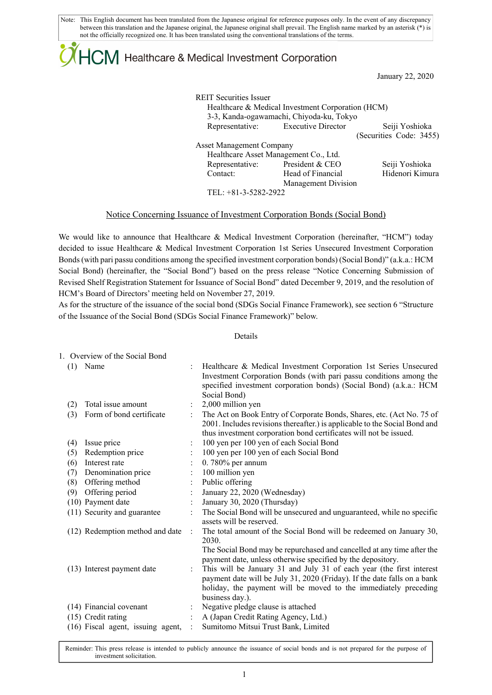# $\downdownarrows$  Healthcare & Medical Investment Corporation

January 22, 2020

REIT Securities Issuer Healthcare & Medical Investment Corporation (HCM) 3-3, Kanda-ogawamachi, Chiyoda-ku, Tokyo Representative: Executive Director Seiji Yoshioka (Securities Code: 3455) Asset Management Company Healthcare Asset Management Co., Ltd. Representative: President & CEO Seiji Yoshioka Contact: Head of Financial Management Division Hidenori Kimura

TEL: +81-3-5282-2922

### Notice Concerning Issuance of Investment Corporation Bonds (Social Bond)

We would like to announce that Healthcare & Medical Investment Corporation (hereinafter, "HCM") today decided to issue Healthcare & Medical Investment Corporation 1st Series Unsecured Investment Corporation Bonds (with pari passu conditions among the specified investment corporation bonds) (Social Bond)" (a.k.a.: HCM Social Bond) (hereinafter, the "Social Bond") based on the press release "Notice Concerning Submission of Revised Shelf Registration Statement for Issuance of Social Bond" dated December 9, 2019, and the resolution of HCM's Board of Directors' meeting held on November 27, 2019.

As for the structure of the issuance of the social bond (SDGs Social Finance Framework), see section 6 "Structure of the Issuance of the Social Bond (SDGs Social Finance Framework)" below.

#### Details

|     | 1. Overview of the Social Bond    |                      |                                                                                                                                                                                                                                                                                                       |
|-----|-----------------------------------|----------------------|-------------------------------------------------------------------------------------------------------------------------------------------------------------------------------------------------------------------------------------------------------------------------------------------------------|
| (1) | Name                              |                      | Healthcare & Medical Investment Corporation 1st Series Unsecured<br>Investment Corporation Bonds (with pari passu conditions among the<br>specified investment corporation bonds) (Social Bond) (a.k.a.: HCM<br>Social Bond)                                                                          |
| (2) | Total issue amount                |                      | 2,000 million yen                                                                                                                                                                                                                                                                                     |
| (3) | Form of bond certificate          | ÷                    | The Act on Book Entry of Corporate Bonds, Shares, etc. (Act No. 75 of<br>2001. Includes revisions thereafter.) is applicable to the Social Bond and<br>thus investment corporation bond certificates will not be issued.                                                                              |
| (4) | Issue price                       |                      | 100 yen per 100 yen of each Social Bond                                                                                                                                                                                                                                                               |
| (5) | Redemption price                  |                      | 100 yen per 100 yen of each Social Bond                                                                                                                                                                                                                                                               |
| (6) | Interest rate                     |                      | $0.780\%$ per annum                                                                                                                                                                                                                                                                                   |
| (7) | Denomination price                |                      | 100 million yen                                                                                                                                                                                                                                                                                       |
| (8) | Offering method                   |                      | Public offering                                                                                                                                                                                                                                                                                       |
| (9) | Offering period                   |                      | January 22, 2020 (Wednesday)                                                                                                                                                                                                                                                                          |
|     | (10) Payment date                 | $\ddot{\cdot}$       | January 30, 2020 (Thursday)                                                                                                                                                                                                                                                                           |
|     | (11) Security and guarantee       |                      | The Social Bond will be unsecured and unguaranteed, while no specific<br>assets will be reserved.                                                                                                                                                                                                     |
|     | (12) Redemption method and date   | $\ddot{\phantom{a}}$ | The total amount of the Social Bond will be redeemed on January 30,<br>2030.<br>The Social Bond may be repurchased and cancelled at any time after the                                                                                                                                                |
|     | (13) Interest payment date        |                      | payment date, unless otherwise specified by the depository.<br>This will be January 31 and July 31 of each year (the first interest<br>payment date will be July 31, 2020 (Friday). If the date falls on a bank<br>holiday, the payment will be moved to the immediately preceding<br>business day.). |
|     | (14) Financial covenant           |                      | Negative pledge clause is attached                                                                                                                                                                                                                                                                    |
|     | (15) Credit rating                |                      | A (Japan Credit Rating Agency, Ltd.)                                                                                                                                                                                                                                                                  |
|     | (16) Fiscal agent, issuing agent, | ÷                    | Sumitomo Mitsui Trust Bank, Limited                                                                                                                                                                                                                                                                   |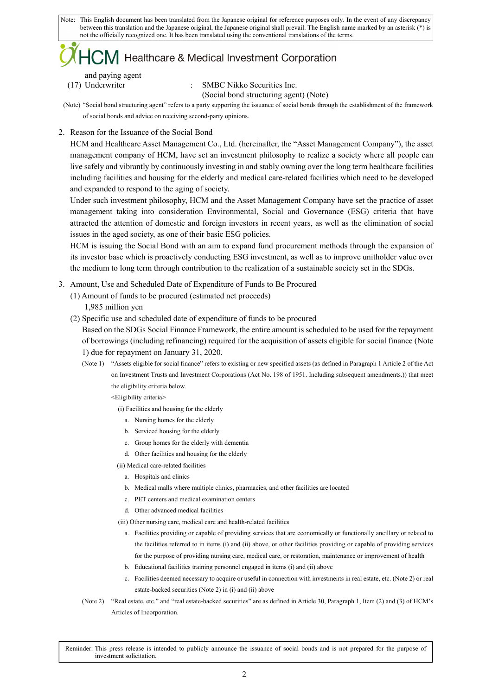## **V** Healthcare & Medical Investment Corporation

and paying agent

(17) Underwriter : SMBC Nikko Securities Inc. (Social bond structuring agent) (Note)

(Note) "Social bond structuring agent" refers to a party supporting the issuance of social bonds through the establishment of the framework of social bonds and advice on receiving second-party opinions.

2. Reason for the Issuance of the Social Bond

HCM and Healthcare Asset Management Co., Ltd. (hereinafter, the "Asset Management Company"), the asset management company of HCM, have set an investment philosophy to realize a society where all people can live safely and vibrantly by continuously investing in and stably owning over the long term healthcare facilities including facilities and housing for the elderly and medical care-related facilities which need to be developed and expanded to respond to the aging of society.

Under such investment philosophy, HCM and the Asset Management Company have set the practice of asset management taking into consideration Environmental, Social and Governance (ESG) criteria that have attracted the attention of domestic and foreign investors in recent years, as well as the elimination of social issues in the aged society, as one of their basic ESG policies.

HCM is issuing the Social Bond with an aim to expand fund procurement methods through the expansion of its investor base which is proactively conducting ESG investment, as well as to improve unitholder value over the medium to long term through contribution to the realization of a sustainable society set in the SDGs.

- 3. Amount, Use and Scheduled Date of Expenditure of Funds to Be Procured
	- (1) Amount of funds to be procured (estimated net proceeds) 1,985 million yen
	- (2) Specific use and scheduled date of expenditure of funds to be procured

Based on the SDGs Social Finance Framework, the entire amount is scheduled to be used for the repayment of borrowings (including refinancing) required for the acquisition of assets eligible for social finance (Note 1) due for repayment on January 31, 2020.

(Note 1) "Assets eligible for social finance" refers to existing or new specified assets (as defined in Paragraph 1 Article 2 of the Act on Investment Trusts and Investment Corporations (Act No. 198 of 1951. Including subsequent amendments.)) that meet the eligibility criteria below.

<Eligibility criteria>

(i) Facilities and housing for the elderly

- a. Nursing homes for the elderly
- b. Serviced housing for the elderly
- c. Group homes for the elderly with dementia
- d. Other facilities and housing for the elderly
- (ii) Medical care-related facilities
	- a. Hospitals and clinics
	- b. Medical malls where multiple clinics, pharmacies, and other facilities are located
	- c. PET centers and medical examination centers
	- d. Other advanced medical facilities

(iii) Other nursing care, medical care and health-related facilities

- a. Facilities providing or capable of providing services that are economically or functionally ancillary or related to the facilities referred to in items (i) and (ii) above, or other facilities providing or capable of providing services for the purpose of providing nursing care, medical care, or restoration, maintenance or improvement of health
- b. Educational facilities training personnel engaged in items (i) and (ii) above
- c. Facilities deemed necessary to acquire or useful in connection with investments in real estate, etc. (Note 2) or real estate-backed securities (Note 2) in (i) and (ii) above
- (Note 2) "Real estate, etc." and "real estate-backed securities" are as defined in Article 30, Paragraph 1, Item (2) and (3) of HCM's Articles of Incorporation.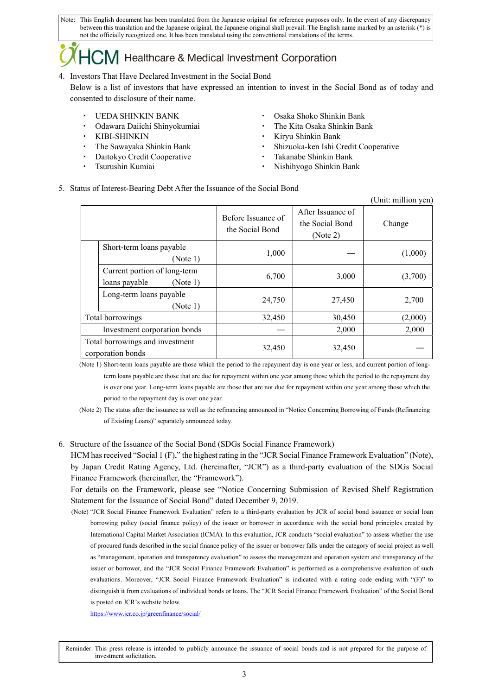## Healthcare & Medical Investment Corporation

4. Investors That Have Declared Investment in the Social Bond

Below is a list of investors that have expressed an intention to invest in the Social Bond as of today and consented to disclosure of their name.

- 
- 
- 
- 
- Daitokyo Credit Cooperative Takanabe Shinkin Bank
- 
- UEDA SHINKIN BANK · Osaka Shoko Shinkin Bank
- Odawara Daiichi Shinyokumiai \* \* \* \* \* \* The Kita Osaka Shinkin Bank
- KIBI-SHINKIN · Kiryu Shinkin Bank
- The Sawayaka Shinkin Bank **•** Shizuoka-ken Ishi Credit Cooperative
	-
	- Tsurushin Kumiai **1988** Nishihyogo Shinkin Bank
- 5. Status of Interest-Bearing Debt After the Issuance of the Social Bond

|                                                      |                                                           |                                       |                                                  | (Unit: million yen) |
|------------------------------------------------------|-----------------------------------------------------------|---------------------------------------|--------------------------------------------------|---------------------|
|                                                      |                                                           | Before Issuance of<br>the Social Bond | After Issuance of<br>the Social Bond<br>(Note 2) | Change              |
|                                                      | Short-term loans payable<br>(Note 1)                      | 1,000                                 |                                                  | (1,000)             |
|                                                      | Current portion of long-term<br>loans payable<br>(Note 1) | 6,700                                 | 3,000                                            | (3,700)             |
|                                                      | Long-term loans payable<br>(Note 1)                       | 24,750                                | 27,450                                           | 2,700               |
| Total borrowings                                     |                                                           | 32,450                                | 30,450                                           | (2,000)             |
| Investment corporation bonds                         |                                                           |                                       | 2,000                                            | 2,000               |
| Total borrowings and investment<br>corporation bonds |                                                           | 32,450                                | 32,450                                           |                     |

(Note 1) Short-term loans payable are those which the period to the repayment day is one year or less, and current portion of longterm loans payable are those that are due for repayment within one year among those which the period to the repayment day is over one year. Long-term loans payable are those that are not due for repayment within one year among those which the period to the repayment day is over one year.

- (Note 2) The status after the issuance as well as the refinancing announced in "Notice Concerning Borrowing of Funds (Refinancing of Existing Loans)" separately announced today.
- 6. Structure of the Issuance of the Social Bond (SDGs Social Finance Framework)

HCM has received "Social 1 (F)," the highest rating in the "JCR Social Finance Framework Evaluation" (Note), by Japan Credit Rating Agency, Ltd. (hereinafter, "JCR") as a third-party evaluation of the SDGs Social Finance Framework (hereinafter, the "Framework").

For details on the Framework, please see "Notice Concerning Submission of Revised Shelf Registration Statement for the Issuance of Social Bond" dated December 9, 2019.

(Note) "JCR Social Finance Framework Evaluation" refers to a third-party evaluation by JCR of social bond issuance or social loan borrowing policy (social finance policy) of the issuer or borrower in accordance with the social bond principles created by International Capital Market Association (ICMA). In this evaluation, JCR conducts "social evaluation" to assess whether the use of procured funds described in the social finance policy of the issuer or borrower falls under the category of social project as well as "management, operation and transparency evaluation" to assess the management and operation system and transparency of the issuer or borrower, and the "JCR Social Finance Framework Evaluation" is performed as a comprehensive evaluation of such evaluations. Moreover, "JCR Social Finance Framework Evaluation" is indicated with a rating code ending with "(F)" to distinguish it from evaluations of individual bonds or loans. The "JCR Social Finance Framework Evaluation" of the Social Bond is posted on JCR's website below.

https://www.jcr.co.jp/greenfinance/social/